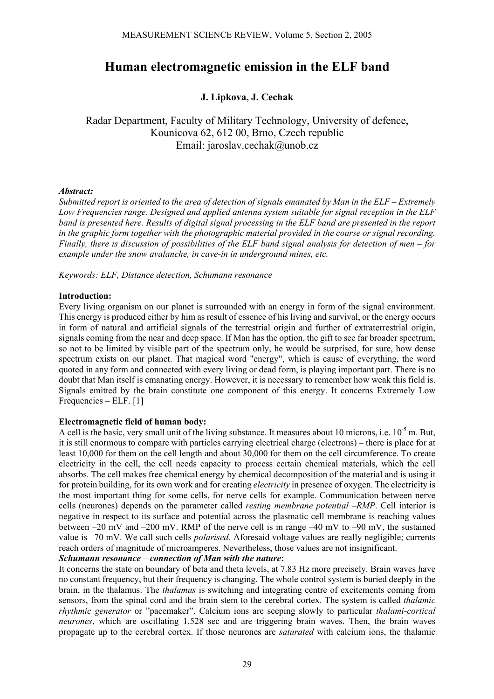# **Human electromagnetic emission in the ELF band**

# **J. Lipkova, J. Cechak**

Radar Department, Faculty of Military Technology, University of defence, Kounicova 62, 612 00, Brno, Czech republic Email: jaroslav.cechak@unob.cz

### *Abstract:*

*Submitted report is oriented to the area of detection of signals emanated by Man in the ELF – Extremely Low Frequencies range. Designed and applied antenna system suitable for signal reception in the ELF band is presented here. Results of digital signal processing in the ELF band are presented in the report in the graphic form together with the photographic material provided in the course or signal recording. Finally, there is discussion of possibilities of the ELF band signal analysis for detection of men – for example under the snow avalanche, in cave-in in underground mines, etc.* 

*Keywords: ELF, Distance detection, Schumann resonance* 

### **Introduction:**

Every living organism on our planet is surrounded with an energy in form of the signal environment. This energy is produced either by him as result of essence of his living and survival, or the energy occurs in form of natural and artificial signals of the terrestrial origin and further of extraterrestrial origin, signals coming from the near and deep space. If Man has the option, the gift to see far broader spectrum, so not to be limited by visible part of the spectrum only, he would be surprised, for sure, how dense spectrum exists on our planet. That magical word "energy", which is cause of everything, the word quoted in any form and connected with every living or dead form, is playing important part. There is no doubt that Man itself is emanating energy. However, it is necessary to remember how weak this field is. Signals emitted by the brain constitute one component of this energy. It concerns Extremely Low Frequencies – ELF. [1]

### **Electromagnetic field of human body:**

A cell is the basic, very small unit of the living substance. It measures about 10 microns, i.e.  $10^{-5}$  m. But, it is still enormous to compare with particles carrying electrical charge (electrons) – there is place for at least 10,000 for them on the cell length and about 30,000 for them on the cell circumference. To create electricity in the cell, the cell needs capacity to process certain chemical materials, which the cell absorbs. The cell makes free chemical energy by chemical decomposition of the material and is using it for protein building, for its own work and for creating *electricity* in presence of oxygen. The electricity is the most important thing for some cells, for nerve cells for example. Communication between nerve cells (neurones) depends on the parameter called *resting membrane potential –RMP*. Cell interior is negative in respect to its surface and potential across the plasmatic cell membrane is reaching values between  $-20$  mV and  $-200$  mV. RMP of the nerve cell is in range  $-40$  mV to  $-90$  mV, the sustained value is –70 mV. We call such cells *polarised*. Aforesaid voltage values are really negligible; currents reach orders of magnitude of microamperes. Nevertheless, those values are not insignificant.

## *Schumann resonance – connection of Man with the nature***:**

It concerns the state on boundary of beta and theta levels, at 7.83 Hz more precisely. Brain waves have no constant frequency, but their frequency is changing. The whole control system is buried deeply in the brain, in the thalamus. The *thalamus* is switching and integrating centre of excitements coming from sensors, from the spinal cord and the brain stem to the cerebral cortex. The system is called *thalamic rhythmic generator* or "pacemaker". Calcium ions are seeping slowly to particular *thalami-cortical neurones*, which are oscillating 1.528 sec and are triggering brain waves. Then, the brain waves propagate up to the cerebral cortex. If those neurones are *saturated* with calcium ions, the thalamic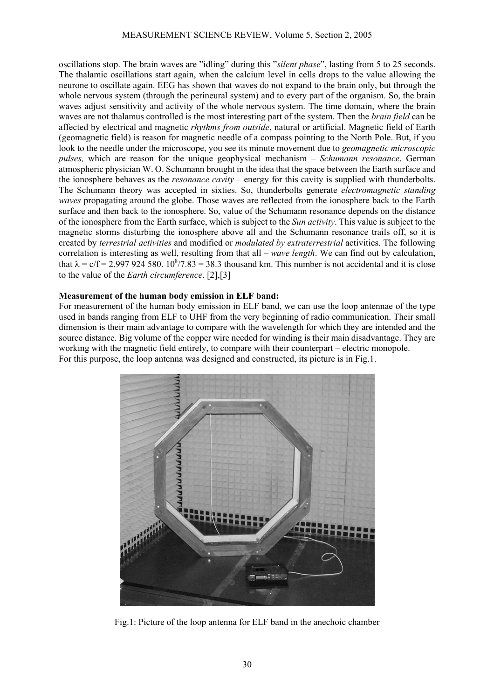oscillations stop. The brain waves are "idling" during this "*silent phase*", lasting from 5 to 25 seconds. The thalamic oscillations start again, when the calcium level in cells drops to the value allowing the neurone to oscillate again. EEG has shown that waves do not expand to the brain only, but through the whole nervous system (through the perineural system) and to every part of the organism. So, the brain waves adjust sensitivity and activity of the whole nervous system. The time domain, where the brain waves are not thalamus controlled is the most interesting part of the system. Then the *brain field* can be affected by electrical and magnetic *rhythms from outside*, natural or artificial. Magnetic field of Earth (geomagnetic field) is reason for magnetic needle of a compass pointing to the North Pole. But, if you look to the needle under the microscope, you see its minute movement due to *geomagnetic microscopic pulses,* which are reason for the unique geophysical mechanism – *Schumann resonance*. German atmospheric physician W. O. Schumann brought in the idea that the space between the Earth surface and the ionosphere behaves as the *resonance cavity* – energy for this cavity is supplied with thunderbolts. The Schumann theory was accepted in sixties. So, thunderbolts generate *electromagnetic standing waves* propagating around the globe. Those waves are reflected from the ionosphere back to the Earth surface and then back to the ionosphere. So, value of the Schumann resonance depends on the distance of the ionosphere from the Earth surface, which is subject to the *Sun activity*. This value is subject to the magnetic storms disturbing the ionosphere above all and the Schumann resonance trails off, so it is created by *terrestrial activities* and modified or *modulated by extraterrestrial* activities. The following correlation is interesting as well, resulting from that all – *wave length*. We can find out by calculation, that  $\lambda = c/f = 2.997924580$ .  $10^{8}/7.83 = 38.3$  thousand km. This number is not accidental and it is close to the value of the *Earth circumference*. [2],[3]

### **Measurement of the human body emission in ELF band:**

For measurement of the human body emission in ELF band, we can use the loop antennae of the type used in bands ranging from ELF to UHF from the very beginning of radio communication. Their small dimension is their main advantage to compare with the wavelength for which they are intended and the source distance. Big volume of the copper wire needed for winding is their main disadvantage. They are working with the magnetic field entirely, to compare with their counterpart – electric monopole. For this purpose, the loop antenna was designed and constructed, its picture is in Fig.1.



Fig.1: Picture of the loop antenna for ELF band in the anechoic chamber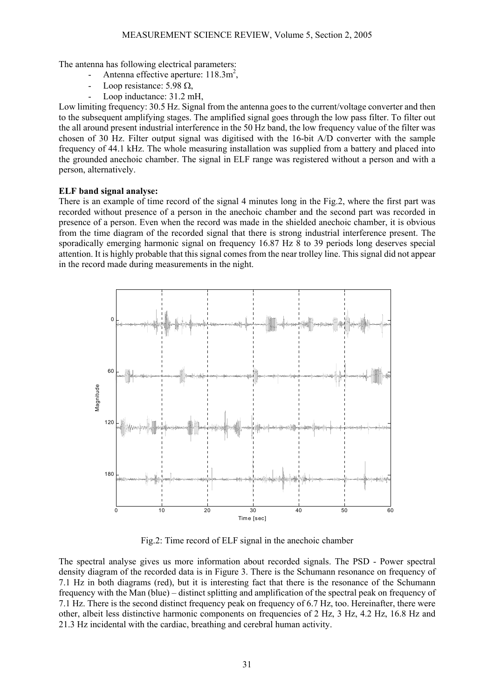The antenna has following electrical parameters:

- Antenna effective aperture:  $118.3 \text{m}^2$ ,
- Loop resistance:  $5.98 \Omega$ ,
- Loop inductance:  $31.2$  mH,

Low limiting frequency: 30.5 Hz. Signal from the antenna goes to the current/voltage converter and then to the subsequent amplifying stages. The amplified signal goes through the low pass filter. To filter out the all around present industrial interference in the 50 Hz band, the low frequency value of the filter was chosen of 30 Hz. Filter output signal was digitised with the 16-bit A/D converter with the sample frequency of 44.1 kHz. The whole measuring installation was supplied from a battery and placed into the grounded anechoic chamber. The signal in ELF range was registered without a person and with a person, alternatively.

#### **ELF band signal analyse:**

There is an example of time record of the signal 4 minutes long in the Fig.2, where the first part was recorded without presence of a person in the anechoic chamber and the second part was recorded in presence of a person. Even when the record was made in the shielded anechoic chamber, it is obvious from the time diagram of the recorded signal that there is strong industrial interference present. The sporadically emerging harmonic signal on frequency 16.87 Hz 8 to 39 periods long deserves special attention. It is highly probable that this signal comes from the near trolley line. This signal did not appear in the record made during measurements in the night.



Fig.2: Time record of ELF signal in the anechoic chamber

The spectral analyse gives us more information about recorded signals. The PSD - Power spectral density diagram of the recorded data is in Figure 3. There is the Schumann resonance on frequency of 7.1 Hz in both diagrams (red), but it is interesting fact that there is the resonance of the Schumann frequency with the Man (blue) – distinct splitting and amplification of the spectral peak on frequency of 7.1 Hz. There is the second distinct frequency peak on frequency of 6.7 Hz, too. Hereinafter, there were other, albeit less distinctive harmonic components on frequencies of 2 Hz, 3 Hz, 4.2 Hz, 16.8 Hz and 21.3 Hz incidental with the cardiac, breathing and cerebral human activity.